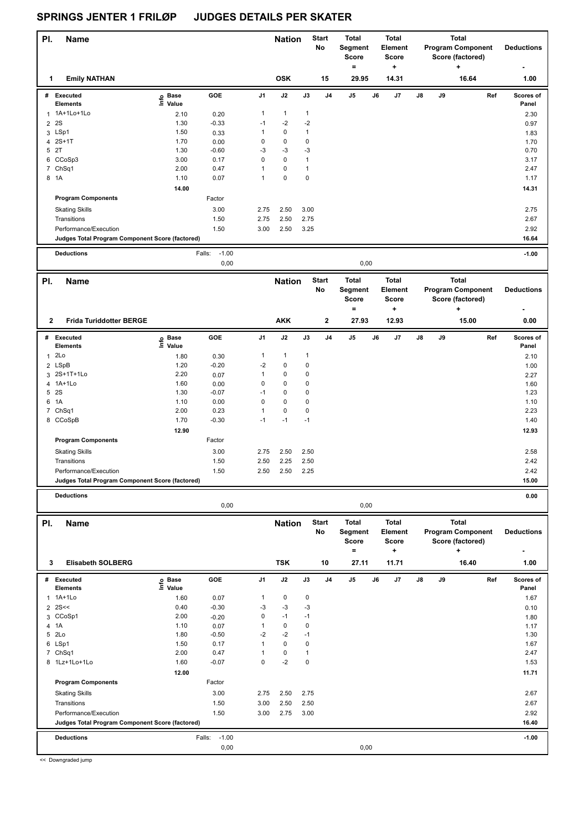| PI.            | <b>Name</b>                                     |                   |                           |                             | <b>Nation</b>          |              | <b>Start</b><br>No | Total<br>Segment<br><b>Score</b><br>$=$      |    | <b>Total</b><br><b>Element</b><br><b>Score</b><br>+ |    |    | <b>Total</b><br><b>Program Component</b><br>Score (factored)<br>+ | <b>Deductions</b>         |
|----------------|-------------------------------------------------|-------------------|---------------------------|-----------------------------|------------------------|--------------|--------------------|----------------------------------------------|----|-----------------------------------------------------|----|----|-------------------------------------------------------------------|---------------------------|
| 1              | <b>Emily NATHAN</b>                             |                   |                           |                             | <b>OSK</b>             |              | 15                 | 29.95                                        |    | 14.31                                               |    |    | 16.64                                                             | 1.00                      |
|                | # Executed<br>Elements                          | e Base<br>⊑ Value | GOE                       | J1                          | J2                     | J3           | J4                 | J5                                           | J6 | J7                                                  | J8 | J9 |                                                                   | Ref<br>Scores of<br>Panel |
|                | 1 1A+1Lo+1Lo                                    | 2.10              | 0.20                      | $\mathbf{1}$                | $\mathbf{1}$           | 1            |                    |                                              |    |                                                     |    |    |                                                                   | 2.30                      |
| $\overline{2}$ | 2S                                              | 1.30              | $-0.33$                   | $-1$                        | $-2$                   | $-2$         |                    |                                              |    |                                                     |    |    |                                                                   | 0.97                      |
|                | 3 LSp1                                          | 1.50              | 0.33                      | $\mathbf{1}$                | $\pmb{0}$              | 1            |                    |                                              |    |                                                     |    |    |                                                                   | 1.83                      |
|                | 4 2S+1T                                         | 1.70              | 0.00                      | 0                           | $\pmb{0}$              | 0            |                    |                                              |    |                                                     |    |    |                                                                   | 1.70                      |
| 5              | 2T                                              | 1.30              | $-0.60$                   | -3                          | $-3$                   | -3           |                    |                                              |    |                                                     |    |    |                                                                   | 0.70                      |
|                | 6 CCoSp3                                        | 3.00              | 0.17                      | 0                           | $\pmb{0}$              | $\mathbf{1}$ |                    |                                              |    |                                                     |    |    |                                                                   | 3.17                      |
|                | 7 ChSq1                                         | 2.00              | 0.47                      | $\mathbf{1}$                | 0                      | $\mathbf{1}$ |                    |                                              |    |                                                     |    |    |                                                                   | 2.47                      |
|                | 8 1A                                            | 1.10              | 0.07                      | $\mathbf{1}$                | $\pmb{0}$              | 0            |                    |                                              |    |                                                     |    |    |                                                                   | 1.17                      |
|                |                                                 | 14.00             |                           |                             |                        |              |                    |                                              |    |                                                     |    |    |                                                                   | 14.31                     |
|                | <b>Program Components</b>                       |                   | Factor                    |                             |                        |              |                    |                                              |    |                                                     |    |    |                                                                   |                           |
|                | <b>Skating Skills</b>                           |                   | 3.00                      | 2.75                        | 2.50                   | 3.00         |                    |                                              |    |                                                     |    |    |                                                                   | 2.75                      |
|                | Transitions                                     |                   | 1.50                      | 2.75                        | 2.50                   | 2.75         |                    |                                              |    |                                                     |    |    |                                                                   | 2.67                      |
|                | Performance/Execution                           |                   | 1.50                      | 3.00                        | 2.50                   | 3.25         |                    |                                              |    |                                                     |    |    |                                                                   | 2.92                      |
|                | Judges Total Program Component Score (factored) |                   |                           |                             |                        |              |                    |                                              |    |                                                     |    |    |                                                                   | 16.64                     |
|                | <b>Deductions</b>                               |                   | $-1.00$<br>Falls:<br>0,00 |                             |                        |              |                    | 0,00                                         |    |                                                     |    |    |                                                                   | $-1.00$                   |
|                |                                                 |                   |                           |                             |                        |              |                    |                                              |    |                                                     |    |    |                                                                   |                           |
| PI.            | <b>Name</b>                                     |                   |                           |                             | <b>Nation</b>          |              | <b>Start</b><br>No | <b>Total</b><br>Segment<br>Score             |    | <b>Total</b><br>Element<br><b>Score</b>             |    |    | <b>Total</b><br><b>Program Component</b><br>Score (factored)      | <b>Deductions</b>         |
| 2              | <b>Frida Turiddotter BERGE</b>                  |                   |                           |                             | <b>AKK</b>             |              | $\mathbf 2$        | $=$<br>27.93                                 |    | +<br>12.93                                          |    |    | ٠<br>15.00                                                        | 0.00                      |
|                | # Executed                                      | e Base<br>⊑ Value | GOE                       | J1                          | J2                     | J3           | J4                 | J5                                           | J6 | J7                                                  | J8 | J9 |                                                                   | Ref<br>Scores of          |
|                | <b>Elements</b>                                 |                   |                           |                             |                        |              |                    |                                              |    |                                                     |    |    |                                                                   | Panel                     |
|                | 12LO                                            | 1.80              | 0.30                      | 1                           | $\mathbf{1}$           | $\mathbf{1}$ |                    |                                              |    |                                                     |    |    |                                                                   | 2.10                      |
|                | 2 LSpB                                          | 1.20              | $-0.20$                   | $-2$                        | $\pmb{0}$              | 0            |                    |                                              |    |                                                     |    |    |                                                                   | 1.00                      |
|                | 3 2S+1T+1Lo<br>1A+1Lo                           | 2.20<br>1.60      | 0.07                      | $\mathbf{1}$<br>$\mathbf 0$ | $\pmb{0}$<br>$\pmb{0}$ | 0<br>0       |                    |                                              |    |                                                     |    |    |                                                                   | 2.27                      |
| 4              | 5 2S                                            | 1.30              | 0.00<br>$-0.07$           | $-1$                        | $\pmb{0}$              | 0            |                    |                                              |    |                                                     |    |    |                                                                   | 1.60<br>1.23              |
| 6              | 1A                                              | 1.10              | 0.00                      | $\mathbf 0$                 | $\pmb{0}$              | 0            |                    |                                              |    |                                                     |    |    |                                                                   | 1.10                      |
|                | 7 ChSq1                                         | 2.00              | 0.23                      | $\mathbf{1}$                | 0                      | 0            |                    |                                              |    |                                                     |    |    |                                                                   | 2.23                      |
|                | 8 CCoSpB                                        | 1.70              | $-0.30$                   | $-1$                        | $-1$                   | $-1$         |                    |                                              |    |                                                     |    |    |                                                                   | 1.40                      |
|                |                                                 | 12.90             |                           |                             |                        |              |                    |                                              |    |                                                     |    |    |                                                                   | 12.93                     |
|                | <b>Program Components</b>                       |                   | Factor                    |                             |                        |              |                    |                                              |    |                                                     |    |    |                                                                   |                           |
|                | <b>Skating Skills</b>                           |                   | 3.00                      | 2.75                        | 2.50                   | 2.50         |                    |                                              |    |                                                     |    |    |                                                                   | 2.58                      |
|                | Transitions                                     |                   | 1.50                      | 2.50                        | 2.25                   | 2.50         |                    |                                              |    |                                                     |    |    |                                                                   | 2.42                      |
|                | Performance/Execution                           |                   | 1.50                      | 2.50                        | 2.50                   | 2.25         |                    |                                              |    |                                                     |    |    |                                                                   | 2.42                      |
|                | Judges Total Program Component Score (factored) |                   |                           |                             |                        |              |                    |                                              |    |                                                     |    |    |                                                                   | 15.00                     |
|                | <b>Deductions</b>                               |                   |                           |                             |                        |              |                    |                                              |    |                                                     |    |    |                                                                   | 0.00                      |
|                |                                                 |                   | 0,00                      |                             |                        |              |                    | 0,00                                         |    |                                                     |    |    |                                                                   |                           |
| PI.            | <b>Name</b>                                     |                   |                           |                             | <b>Nation</b>          |              | <b>Start</b><br>No | Total<br>Segment<br><b>Score</b><br>$\equiv$ |    | Total<br>Element<br><b>Score</b>                    |    |    | Total<br><b>Program Component</b><br>Score (factored)             | <b>Deductions</b>         |
| 3              | <b>Elisabeth SOLBERG</b>                        |                   |                           |                             | <b>TSK</b>             |              | 10                 | 27.11                                        |    | ٠<br>11.71                                          |    |    | 16.40                                                             | 1.00                      |
|                | # Executed<br><b>Elements</b>                   | e Base<br>⊑ Value | GOE                       | J1                          | J2                     | J3           | J4                 | J5                                           | J6 | J7                                                  | J8 | J9 |                                                                   | Ref<br>Scores of<br>Panel |
| 1              | 1A+1Lo                                          | 1.60              | 0.07                      | 1                           | 0                      | 0            |                    |                                              |    |                                                     |    |    |                                                                   | 1.67                      |
| $\overline{2}$ | 2S<                                             | 0.40              | $-0.30$                   | -3                          | $-3$                   | -3           |                    |                                              |    |                                                     |    |    |                                                                   | 0.10                      |
|                | 3 CCoSp1                                        | 2.00              | $-0.20$                   | 0                           | $-1$                   | $-1$         |                    |                                              |    |                                                     |    |    |                                                                   | 1.80                      |
| 4              | 1A                                              | 1.10              | 0.07                      | $\mathbf{1}$                | $\pmb{0}$              | 0            |                    |                                              |    |                                                     |    |    |                                                                   | 1.17                      |
|                | 5 2Lo                                           | 1.80              | $-0.50$                   | $-2$                        | $-2$                   | $-1$         |                    |                                              |    |                                                     |    |    |                                                                   | 1.30                      |
|                | 6 LSp1<br>7 ChSq1                               | 1.50<br>2.00      | 0.17<br>0.47              | 1<br>1                      | $\pmb{0}$<br>0         | 0<br>1       |                    |                                              |    |                                                     |    |    |                                                                   | 1.67<br>2.47              |
|                | 8 1Lz+1Lo+1Lo                                   | 1.60              | $-0.07$                   | $\pmb{0}$                   | $-2$                   | 0            |                    |                                              |    |                                                     |    |    |                                                                   | 1.53                      |
|                |                                                 | 12.00             |                           |                             |                        |              |                    |                                              |    |                                                     |    |    |                                                                   | 11.71                     |
|                | <b>Program Components</b>                       |                   | Factor                    |                             |                        |              |                    |                                              |    |                                                     |    |    |                                                                   |                           |
|                | <b>Skating Skills</b>                           |                   | 3.00                      | 2.75                        | 2.50                   | 2.75         |                    |                                              |    |                                                     |    |    |                                                                   | 2.67                      |
|                | Transitions                                     |                   | 1.50                      | 3.00                        | 2.50                   | 2.50         |                    |                                              |    |                                                     |    |    |                                                                   | 2.67                      |
|                | Performance/Execution                           |                   | 1.50                      | 3.00                        | 2.75                   | 3.00         |                    |                                              |    |                                                     |    |    |                                                                   | 2.92                      |
|                | Judges Total Program Component Score (factored) |                   |                           |                             |                        |              |                    |                                              |    |                                                     |    |    |                                                                   | 16.40                     |
|                | <b>Deductions</b>                               |                   | $-1.00$<br>Falls:         |                             |                        |              |                    |                                              |    |                                                     |    |    |                                                                   | $-1.00$                   |
|                |                                                 |                   | 0,00                      |                             |                        |              |                    | 0,00                                         |    |                                                     |    |    |                                                                   |                           |

<< Downgraded jump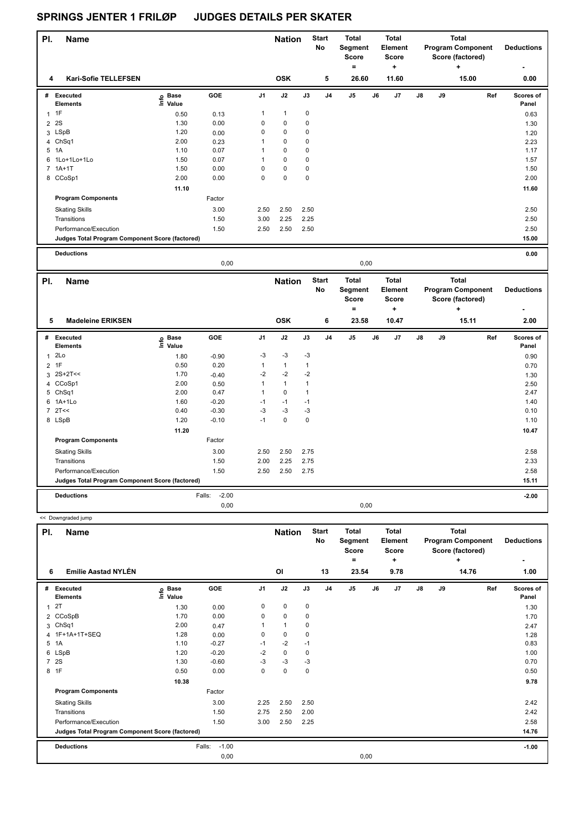<< Downgraded jump

| PI. | <b>Name</b>                                     |                              |            |                | <b>Nation</b> |             | <b>Start</b><br><b>No</b> | <b>Total</b><br>Segment<br>Score<br>$\equiv$        | <b>Total</b><br>Element<br>Score<br>٠  |    |    | <b>Total</b><br><b>Program Component</b><br>Score (factored)              | <b>Deductions</b>  |
|-----|-------------------------------------------------|------------------------------|------------|----------------|---------------|-------------|---------------------------|-----------------------------------------------------|----------------------------------------|----|----|---------------------------------------------------------------------------|--------------------|
| 4   | <b>Kari-Sofie TELLEFSEN</b>                     |                              |            |                | <b>OSK</b>    |             | 5                         | 26.60                                               | 11.60                                  |    |    | 15.00                                                                     | 0.00               |
| #   | Executed<br><b>Elements</b>                     | <b>Base</b><br>١nfo<br>Value | <b>GOE</b> | J <sub>1</sub> | J2            | J3          | J <sub>4</sub>            | J <sub>5</sub>                                      | J7<br>J6                               | J8 | J9 | Ref                                                                       | Scores of<br>Panel |
| 1   | 1F                                              | 0.50                         | 0.13       | $\mathbf{1}$   | $\mathbf{1}$  | $\mathbf 0$ |                           |                                                     |                                        |    |    |                                                                           | 0.63               |
| 2   | 2S                                              | 1.30                         | 0.00       | 0              | $\mathbf 0$   | $\mathbf 0$ |                           |                                                     |                                        |    |    |                                                                           | 1.30               |
|     | 3 LSpB                                          | 1.20                         | 0.00       | 0              | $\mathbf 0$   | $\pmb{0}$   |                           |                                                     |                                        |    |    |                                                                           | 1.20               |
|     | 4 ChSq1                                         | 2.00                         | 0.23       | 1              | $\mathbf 0$   | 0           |                           |                                                     |                                        |    |    |                                                                           | 2.23               |
| 5   | 1A                                              | 1.10                         | 0.07       | 1              | $\mathbf 0$   | $\mathbf 0$ |                           |                                                     |                                        |    |    |                                                                           | 1.17               |
| 6   | 1Lo+1Lo+1Lo                                     | 1.50                         | 0.07       | 1              | $\mathbf 0$   | $\mathbf 0$ |                           |                                                     |                                        |    |    |                                                                           | 1.57               |
|     | $7.1A+1T$                                       | 1.50                         | 0.00       | $\Omega$       | $\mathbf 0$   | 0           |                           |                                                     |                                        |    |    |                                                                           | 1.50               |
|     | 8 CCoSp1                                        | 2.00                         | 0.00       | $\mathbf 0$    | $\mathbf 0$   | $\mathbf 0$ |                           |                                                     |                                        |    |    |                                                                           | 2.00               |
|     |                                                 | 11.10                        |            |                |               |             |                           |                                                     |                                        |    |    |                                                                           | 11.60              |
|     | <b>Program Components</b>                       |                              | Factor     |                |               |             |                           |                                                     |                                        |    |    |                                                                           |                    |
|     | <b>Skating Skills</b>                           |                              | 3.00       | 2.50           | 2.50          | 2.50        |                           |                                                     |                                        |    |    |                                                                           | 2.50               |
|     | Transitions                                     |                              | 1.50       | 3.00           | 2.25          | 2.25        |                           |                                                     |                                        |    |    |                                                                           | 2.50               |
|     | Performance/Execution                           |                              | 1.50       | 2.50           | 2.50          | 2.50        |                           |                                                     |                                        |    |    |                                                                           | 2.50               |
|     | Judges Total Program Component Score (factored) |                              |            |                |               |             |                           |                                                     |                                        |    |    |                                                                           | 15.00              |
|     | <b>Deductions</b>                               |                              |            |                |               |             |                           |                                                     |                                        |    |    |                                                                           | 0.00               |
|     |                                                 |                              | 0,00       |                |               |             |                           | 0,00                                                |                                        |    |    |                                                                           |                    |
| PI. | <b>Name</b>                                     |                              |            |                | <b>Nation</b> |             | <b>Start</b><br>No        | <b>Total</b><br>Segment<br><b>Score</b><br>$\equiv$ | <b>Total</b><br>Element<br>Score<br>۰. |    |    | <b>Total</b><br><b>Program Component</b><br>Score (factored)<br>$\ddot{}$ | <b>Deductions</b>  |
| 5   | <b>Madeleine ERIKSEN</b>                        |                              |            |                | <b>OSK</b>    |             | 6                         | 23.58                                               | 10.47                                  |    |    | 15.11                                                                     | 2.00               |

| #              | Executed<br><b>Elements</b>                     | e Base<br>E Value<br>Value | GOE               | J <sub>1</sub> | J2           | J3          | J <sub>4</sub> | J5 | J6   | J <sub>7</sub> | $\mathsf{J}8$ | J9 | Ref | Scores of<br>Panel |
|----------------|-------------------------------------------------|----------------------------|-------------------|----------------|--------------|-------------|----------------|----|------|----------------|---------------|----|-----|--------------------|
| $\overline{1}$ | 2Lo                                             | 1.80                       | $-0.90$           | $-3$           | $-3$         | $-3$        |                |    |      |                |               |    |     | 0.90               |
| $\overline{2}$ | 1F                                              | 0.50                       | 0.20              | 1              | $\mathbf{1}$ | 1           |                |    |      |                |               |    |     | 0.70               |
|                | $3 \, 2S+2T<<$                                  | 1.70                       | $-0.40$           | $-2$           | $-2$         | $-2$        |                |    |      |                |               |    |     | 1.30               |
|                | 4 CCoSp1                                        | 2.00                       | 0.50              | 1              | $\mathbf{1}$ | 1           |                |    |      |                |               |    |     | 2.50               |
|                | 5 ChSq1                                         | 2.00                       | 0.47              | 1              | $\mathbf 0$  | 1           |                |    |      |                |               |    |     | 2.47               |
|                | 6 1A+1Lo                                        | 1.60                       | $-0.20$           | $-1$           | $-1$         | $-1$        |                |    |      |                |               |    |     | 1.40               |
|                | $7$ 2T <<                                       | 0.40                       | $-0.30$           | $-3$           | $-3$         | $-3$        |                |    |      |                |               |    |     | 0.10               |
|                | 8 LSpB                                          | 1.20                       | $-0.10$           | $-1$           | 0            | $\mathbf 0$ |                |    |      |                |               |    |     | 1.10               |
|                |                                                 | 11.20                      |                   |                |              |             |                |    |      |                |               |    |     | 10.47              |
|                | <b>Program Components</b>                       |                            | Factor            |                |              |             |                |    |      |                |               |    |     |                    |
|                | <b>Skating Skills</b>                           |                            | 3.00              | 2.50           | 2.50         | 2.75        |                |    |      |                |               |    |     | 2.58               |
|                | Transitions                                     |                            | 1.50              | 2.00           | 2.25         | 2.75        |                |    |      |                |               |    |     | 2.33               |
|                | Performance/Execution                           |                            | 1.50              | 2.50           | 2.50         | 2.75        |                |    |      |                |               |    |     | 2.58               |
|                | Judges Total Program Component Score (factored) |                            |                   |                |              |             |                |    |      |                |               |    |     | 15.11              |
|                | <b>Deductions</b>                               |                            | Falls:<br>$-2.00$ |                |              |             |                |    |      |                |               |    |     | $-2.00$            |
|                |                                                 |                            | 0,00              |                |              |             |                |    | 0,00 |                |               |    |     |                    |

| PI. | <b>Name</b>                                     |                            |                   |                | <b>Nation</b> |             | <b>Start</b><br>No | <b>Total</b><br>Segment<br><b>Score</b> |      | <b>Total</b><br>Element<br><b>Score</b> |               |    | <b>Total</b><br><b>Program Component</b><br>Score (factored) | <b>Deductions</b>         |
|-----|-------------------------------------------------|----------------------------|-------------------|----------------|---------------|-------------|--------------------|-----------------------------------------|------|-----------------------------------------|---------------|----|--------------------------------------------------------------|---------------------------|
|     |                                                 |                            |                   |                |               |             |                    | $\equiv$                                |      | ÷                                       |               |    | ÷                                                            |                           |
| 6   | <b>Emilie Aastad NYLÉN</b>                      |                            |                   |                | OI            |             | 13                 | 23.54                                   |      | 9.78                                    |               |    | 14.76                                                        | 1.00                      |
| #   | Executed<br><b>Elements</b>                     | e Base<br>E Value<br>Value | GOE               | J <sub>1</sub> | J2            | J3          | J <sub>4</sub>     | J5                                      | J6   | J7                                      | $\mathsf{J}8$ | J9 | Ref                                                          | <b>Scores of</b><br>Panel |
|     | 1 <sup>2</sup>                                  | 1.30                       | 0.00              | 0              | 0             | 0           |                    |                                         |      |                                         |               |    |                                                              | 1.30                      |
|     | 2 CCoSpB                                        | 1.70                       | 0.00              | 0              | 0             | $\mathbf 0$ |                    |                                         |      |                                         |               |    |                                                              | 1.70                      |
| 3   | Ch <sub>Sq1</sub>                               | 2.00                       | 0.47              |                | $\mathbf{1}$  | 0           |                    |                                         |      |                                         |               |    |                                                              | 2.47                      |
|     | 4 1F+1A+1T+SEQ                                  | 1.28                       | 0.00              | 0              | 0             | 0           |                    |                                         |      |                                         |               |    |                                                              | 1.28                      |
| 5   | 1A                                              | 1.10                       | $-0.27$           | $-1$           | $-2$          | $-1$        |                    |                                         |      |                                         |               |    |                                                              | 0.83                      |
|     | 6 LSpB                                          | 1.20                       | $-0.20$           | $-2$           | 0             | $\mathbf 0$ |                    |                                         |      |                                         |               |    |                                                              | 1.00                      |
|     | 7 2S                                            | 1.30                       | $-0.60$           | $-3$           | $-3$          | $-3$        |                    |                                         |      |                                         |               |    |                                                              | 0.70                      |
|     | 8 1F                                            | 0.50                       | 0.00              | 0              | 0             | $\mathbf 0$ |                    |                                         |      |                                         |               |    |                                                              | 0.50                      |
|     |                                                 | 10.38                      |                   |                |               |             |                    |                                         |      |                                         |               |    |                                                              | 9.78                      |
|     | <b>Program Components</b>                       |                            | Factor            |                |               |             |                    |                                         |      |                                         |               |    |                                                              |                           |
|     | <b>Skating Skills</b>                           |                            | 3.00              | 2.25           | 2.50          | 2.50        |                    |                                         |      |                                         |               |    |                                                              | 2.42                      |
|     | Transitions                                     |                            | 1.50              | 2.75           | 2.50          | 2.00        |                    |                                         |      |                                         |               |    |                                                              | 2.42                      |
|     | Performance/Execution                           |                            | 1.50              | 3.00           | 2.50          | 2.25        |                    |                                         |      |                                         |               |    |                                                              | 2.58                      |
|     | Judges Total Program Component Score (factored) |                            |                   |                |               |             |                    |                                         |      |                                         |               |    |                                                              | 14.76                     |
|     | <b>Deductions</b>                               |                            | $-1.00$<br>Falls: |                |               |             |                    |                                         |      |                                         |               |    |                                                              | $-1.00$                   |
|     |                                                 |                            | 0,00              |                |               |             |                    |                                         | 0,00 |                                         |               |    |                                                              |                           |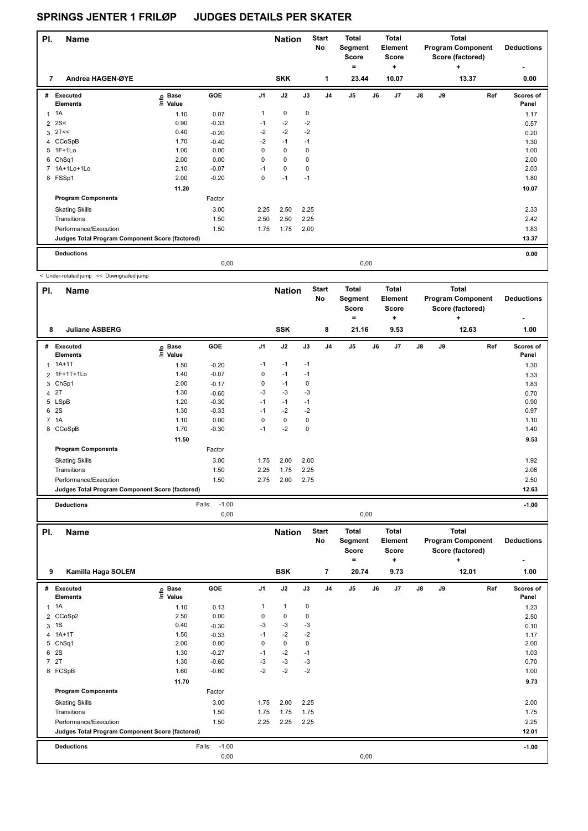| PI.            | <b>Name</b>                                     |                   |         |                | <b>Nation</b> |      | <b>Start</b><br>No | <b>Total</b><br>Segment<br>Score<br>۰ |      | <b>Total</b><br>Element<br>Score<br>$\ddot{}$ |               |    | <b>Total</b><br><b>Program Component</b><br>Score (factored)<br>+ | <b>Deductions</b>  |
|----------------|-------------------------------------------------|-------------------|---------|----------------|---------------|------|--------------------|---------------------------------------|------|-----------------------------------------------|---------------|----|-------------------------------------------------------------------|--------------------|
| 7              | Andrea HAGEN-ØYE                                |                   |         |                | <b>SKK</b>    |      | 1                  | 23.44                                 |      | 10.07                                         |               |    | 13.37                                                             | 0.00               |
| #              | <b>Executed</b><br><b>Elements</b>              | e Base<br>⊆ Value | GOE     | J <sub>1</sub> | J2            | J3   | J <sub>4</sub>     | J <sub>5</sub>                        | J6   | J7                                            | $\mathsf{J}8$ | J9 | Ref                                                               | Scores of<br>Panel |
| 1              | 1A                                              | 1.10              | 0.07    | 1              | $\mathbf 0$   | 0    |                    |                                       |      |                                               |               |    |                                                                   | 1.17               |
| $\overline{2}$ | 2S<                                             | 0.90              | $-0.33$ | $-1$           | $-2$          | $-2$ |                    |                                       |      |                                               |               |    |                                                                   | 0.57               |
|                | $3$ 2T <<                                       | 0.40              | $-0.20$ | $-2$           | $-2$          | $-2$ |                    |                                       |      |                                               |               |    |                                                                   | 0.20               |
|                | 4 CCoSpB                                        | 1.70              | $-0.40$ | $-2$           | $-1$          | $-1$ |                    |                                       |      |                                               |               |    |                                                                   | 1.30               |
|                | 5 1F+1Lo                                        | 1.00              | 0.00    | 0              | $\mathbf 0$   | 0    |                    |                                       |      |                                               |               |    |                                                                   | 1.00               |
|                | 6 ChSq1                                         | 2.00              | 0.00    | 0              | 0             | 0    |                    |                                       |      |                                               |               |    |                                                                   | 2.00               |
|                | 7 1A+1Lo+1Lo                                    | 2.10              | $-0.07$ | $-1$           | $\pmb{0}$     | 0    |                    |                                       |      |                                               |               |    |                                                                   | 2.03               |
|                | 8 FSSp1                                         | 2.00              | $-0.20$ | 0              | $-1$          | $-1$ |                    |                                       |      |                                               |               |    |                                                                   | 1.80               |
|                |                                                 | 11.20             |         |                |               |      |                    |                                       |      |                                               |               |    |                                                                   | 10.07              |
|                | <b>Program Components</b>                       |                   | Factor  |                |               |      |                    |                                       |      |                                               |               |    |                                                                   |                    |
|                | <b>Skating Skills</b>                           |                   | 3.00    | 2.25           | 2.50          | 2.25 |                    |                                       |      |                                               |               |    |                                                                   | 2.33               |
|                | Transitions                                     |                   | 1.50    | 2.50           | 2.50          | 2.25 |                    |                                       |      |                                               |               |    |                                                                   | 2.42               |
|                | Performance/Execution                           |                   | 1.50    | 1.75           | 1.75          | 2.00 |                    |                                       |      |                                               |               |    |                                                                   | 1.83               |
|                | Judges Total Program Component Score (factored) |                   |         |                |               |      |                    |                                       |      |                                               |               |    |                                                                   | 13.37              |
|                | <b>Deductions</b>                               |                   |         |                |               |      |                    |                                       |      |                                               |               |    |                                                                   | 0.00               |
|                |                                                 |                   | 0,00    |                |               |      |                    |                                       | 0,00 |                                               |               |    |                                                                   |                    |

< Under-rotated jump << Downgraded jump

| PI. | <b>Name</b>                                     |                   |                   |                | <b>Nation</b> |             | <b>Start</b><br>No | <b>Total</b><br>Segment<br><b>Score</b><br>$=$ |    | <b>Total</b><br><b>Element</b><br><b>Score</b><br>+ |               |    | <b>Total</b><br><b>Program Component</b><br>Score (factored)<br>$\ddot{}$ | <b>Deductions</b>  |
|-----|-------------------------------------------------|-------------------|-------------------|----------------|---------------|-------------|--------------------|------------------------------------------------|----|-----------------------------------------------------|---------------|----|---------------------------------------------------------------------------|--------------------|
| 8   | <b>Juliane ASBERG</b>                           |                   |                   |                | <b>SSK</b>    |             | 8                  | 21.16                                          |    | 9.53                                                |               |    | 12.63                                                                     | 1.00               |
| #   | Executed<br><b>Elements</b>                     | e Base<br>E Value | GOE               | J <sub>1</sub> | J2            | J3          | J <sub>4</sub>     | J <sub>5</sub>                                 | J6 | J7                                                  | $\mathsf{J}8$ | J9 | Ref                                                                       | Scores of<br>Panel |
|     | $1.1A+1T$                                       | 1.50              | $-0.20$           | $-1$           | $-1$          | $-1$        |                    |                                                |    |                                                     |               |    |                                                                           | 1.30               |
|     | 2 1F+1T+1Lo                                     | 1.40              | $-0.07$           | 0              | $-1$          | $-1$        |                    |                                                |    |                                                     |               |    |                                                                           | 1.33               |
|     | 3 ChSp1                                         | 2.00              | $-0.17$           | 0              | $-1$          | 0           |                    |                                                |    |                                                     |               |    |                                                                           | 1.83               |
|     | 4 2T                                            | 1.30              | $-0.60$           | $-3$           | $-3$          | $-3$        |                    |                                                |    |                                                     |               |    |                                                                           | 0.70               |
|     | 5 LSpB                                          | 1.20              | $-0.30$           | $-1$           | $-1$          | $-1$        |                    |                                                |    |                                                     |               |    |                                                                           | 0.90               |
| 6   | 2S                                              | 1.30              | $-0.33$           | $-1$           | $-2$          | $-2$        |                    |                                                |    |                                                     |               |    |                                                                           | 0.97               |
|     | 7 1A                                            | 1.10              | 0.00              | 0              | 0             | 0           |                    |                                                |    |                                                     |               |    |                                                                           | 1.10               |
|     | 8 CCoSpB                                        | 1.70              | $-0.30$           | $-1$           | $-2$          | $\mathbf 0$ |                    |                                                |    |                                                     |               |    |                                                                           | 1.40               |
|     |                                                 | 11.50             |                   |                |               |             |                    |                                                |    |                                                     |               |    |                                                                           | 9.53               |
|     | <b>Program Components</b>                       |                   | Factor            |                |               |             |                    |                                                |    |                                                     |               |    |                                                                           |                    |
|     | <b>Skating Skills</b>                           |                   | 3.00              | 1.75           | 2.00          | 2.00        |                    |                                                |    |                                                     |               |    |                                                                           | 1.92               |
|     | Transitions                                     |                   | 1.50              | 2.25           | 1.75          | 2.25        |                    |                                                |    |                                                     |               |    |                                                                           | 2.08               |
|     | Performance/Execution                           |                   | 1.50              | 2.75           | 2.00          | 2.75        |                    |                                                |    |                                                     |               |    |                                                                           | 2.50               |
|     | Judges Total Program Component Score (factored) |                   |                   |                |               |             |                    |                                                |    |                                                     |               |    |                                                                           | 12.63              |
|     | <b>Deductions</b>                               |                   | $-1.00$<br>Falls: |                |               |             |                    |                                                |    |                                                     |               |    |                                                                           | $-1.00$            |

0,00 0,00

| PI. | <b>Name</b>                                     |                            |                   |                | <b>Nation</b> |      | <b>Start</b><br>No | <b>Total</b><br>Segment<br><b>Score</b><br>$=$ |      | Total<br>Element<br><b>Score</b><br>٠ |               |    | <b>Total</b><br><b>Program Component</b><br>Score (factored)<br>÷ | <b>Deductions</b><br>٠ |
|-----|-------------------------------------------------|----------------------------|-------------------|----------------|---------------|------|--------------------|------------------------------------------------|------|---------------------------------------|---------------|----|-------------------------------------------------------------------|------------------------|
| 9   | Kamilla Haga SOLEM                              |                            |                   |                | <b>BSK</b>    |      | $\overline{7}$     | 20.74                                          |      | 9.73                                  |               |    | 12.01                                                             | 1.00                   |
| #   | Executed<br><b>Elements</b>                     | e Base<br>⊑ Value<br>Value | <b>GOE</b>        | J <sub>1</sub> | J2            | J3   | J <sub>4</sub>     | J <sub>5</sub>                                 | J6   | J <sub>7</sub>                        | $\mathsf{J}8$ | J9 | Ref                                                               | Scores of<br>Panel     |
|     | $1 \t1A$                                        | 1.10                       | 0.13              | 1              | $\mathbf{1}$  | 0    |                    |                                                |      |                                       |               |    |                                                                   | 1.23                   |
|     | 2 CCoSp2                                        | 2.50                       | 0.00              | 0              | $\mathbf 0$   | 0    |                    |                                                |      |                                       |               |    |                                                                   | 2.50                   |
|     | 3 <sup>1</sup>                                  | 0.40                       | $-0.30$           | -3             | $-3$          | $-3$ |                    |                                                |      |                                       |               |    |                                                                   | 0.10                   |
|     | 4 1A+1T                                         | 1.50                       | $-0.33$           | $-1$           | $-2$          | $-2$ |                    |                                                |      |                                       |               |    |                                                                   | 1.17                   |
| 5   | ChSq1                                           | 2.00                       | 0.00              | 0              | $\mathbf 0$   | 0    |                    |                                                |      |                                       |               |    |                                                                   | 2.00                   |
|     | 6 2S                                            | 1.30                       | $-0.27$           | $-1$           | $-2$          | $-1$ |                    |                                                |      |                                       |               |    |                                                                   | 1.03                   |
|     | 7 2T                                            | 1.30                       | $-0.60$           | -3             | $-3$          | -3   |                    |                                                |      |                                       |               |    |                                                                   | 0.70                   |
|     | 8 FCSpB                                         | 1.60                       | $-0.60$           | $-2$           | $-2$          | $-2$ |                    |                                                |      |                                       |               |    |                                                                   | 1.00                   |
|     |                                                 | 11.70                      |                   |                |               |      |                    |                                                |      |                                       |               |    |                                                                   | 9.73                   |
|     | <b>Program Components</b>                       |                            | Factor            |                |               |      |                    |                                                |      |                                       |               |    |                                                                   |                        |
|     | <b>Skating Skills</b>                           |                            | 3.00              | 1.75           | 2.00          | 2.25 |                    |                                                |      |                                       |               |    |                                                                   | 2.00                   |
|     | Transitions                                     |                            | 1.50              | 1.75           | 1.75          | 1.75 |                    |                                                |      |                                       |               |    |                                                                   | 1.75                   |
|     | Performance/Execution                           |                            | 1.50              | 2.25           | 2.25          | 2.25 |                    |                                                |      |                                       |               |    |                                                                   | 2.25                   |
|     | Judges Total Program Component Score (factored) |                            |                   |                |               |      |                    |                                                |      |                                       |               |    |                                                                   | 12.01                  |
|     | <b>Deductions</b>                               |                            | $-1.00$<br>Falls: |                |               |      |                    |                                                |      |                                       |               |    |                                                                   | $-1.00$                |
|     |                                                 |                            | 0,00              |                |               |      |                    |                                                | 0,00 |                                       |               |    |                                                                   |                        |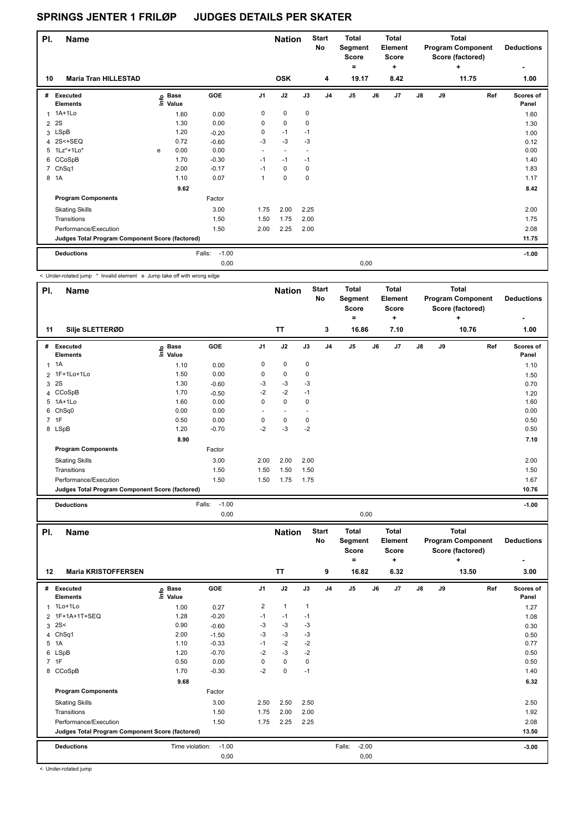| PI.            | <b>Name</b>                                     |   |                                  |                   |                | <b>Nation</b> |                          | <b>Start</b><br>No | <b>Total</b><br>Segment<br>Score<br>۰ |      | <b>Total</b><br>Element<br>Score<br>٠ |               |    | <b>Total</b><br><b>Program Component</b><br>Score (factored)<br>٠ | <b>Deductions</b>  |
|----------------|-------------------------------------------------|---|----------------------------------|-------------------|----------------|---------------|--------------------------|--------------------|---------------------------------------|------|---------------------------------------|---------------|----|-------------------------------------------------------------------|--------------------|
| 10             | <b>Maria Tran HILLESTAD</b>                     |   |                                  |                   |                | <b>OSK</b>    |                          | 4                  | 19.17                                 |      | 8.42                                  |               |    | 11.75                                                             | 1.00               |
| #              | Executed<br><b>Elements</b>                     |   | <b>Base</b><br>e Base<br>⊆ Value | GOE               | J <sub>1</sub> | J2            | J3                       | J <sub>4</sub>     | J <sub>5</sub>                        | J6   | J7                                    | $\mathsf{J}8$ | J9 | Ref                                                               | Scores of<br>Panel |
| 1              | 1A+1Lo                                          |   | 1.60                             | 0.00              | 0              | $\mathbf 0$   | $\mathbf 0$              |                    |                                       |      |                                       |               |    |                                                                   | 1.60               |
| $\overline{2}$ | <b>2S</b>                                       |   | 1.30                             | 0.00              | 0              | 0             | 0                        |                    |                                       |      |                                       |               |    |                                                                   | 1.30               |
|                | 3 LSpB                                          |   | 1.20                             | $-0.20$           | 0              | $-1$          | $-1$                     |                    |                                       |      |                                       |               |    |                                                                   | 1.00               |
|                | 4 2S<+SEQ                                       |   | 0.72                             | $-0.60$           | $-3$           | $-3$          | $-3$                     |                    |                                       |      |                                       |               |    |                                                                   | 0.12               |
|                | 5 1Lz*+1Lo*                                     | e | 0.00                             | 0.00              | $\sim$         | $\sim$        | $\overline{\phantom{a}}$ |                    |                                       |      |                                       |               |    |                                                                   | 0.00               |
|                | 6 CCoSpB                                        |   | 1.70                             | $-0.30$           | $-1$           | $-1$          | $-1$                     |                    |                                       |      |                                       |               |    |                                                                   | 1.40               |
| $\overline{7}$ | ChSq1                                           |   | 2.00                             | $-0.17$           | $-1$           | $\mathbf 0$   | $\mathbf 0$              |                    |                                       |      |                                       |               |    |                                                                   | 1.83               |
|                | 8 1A                                            |   | 1.10                             | 0.07              | $\mathbf{1}$   | $\mathbf 0$   | $\mathbf 0$              |                    |                                       |      |                                       |               |    |                                                                   | 1.17               |
|                |                                                 |   | 9.62                             |                   |                |               |                          |                    |                                       |      |                                       |               |    |                                                                   | 8.42               |
|                | <b>Program Components</b>                       |   |                                  | Factor            |                |               |                          |                    |                                       |      |                                       |               |    |                                                                   |                    |
|                | <b>Skating Skills</b>                           |   |                                  | 3.00              | 1.75           | 2.00          | 2.25                     |                    |                                       |      |                                       |               |    |                                                                   | 2.00               |
|                | Transitions                                     |   |                                  | 1.50              | 1.50           | 1.75          | 2.00                     |                    |                                       |      |                                       |               |    |                                                                   | 1.75               |
|                | Performance/Execution                           |   |                                  | 1.50              | 2.00           | 2.25          | 2.00                     |                    |                                       |      |                                       |               |    |                                                                   | 2.08               |
|                | Judges Total Program Component Score (factored) |   |                                  |                   |                |               |                          |                    |                                       |      |                                       |               |    |                                                                   | 11.75              |
|                | <b>Deductions</b>                               |   |                                  | $-1.00$<br>Falls: |                |               |                          |                    |                                       |      |                                       |               |    |                                                                   | $-1.00$            |
|                |                                                 |   |                                  | 0.00              |                |               |                          |                    |                                       | 0,00 |                                       |               |    |                                                                   |                    |

< Under-rotated jump \* Invalid element e Jump take off with wrong edge

| PI.          | <b>Name</b>                                     |                   |                   |                          | <b>Nation</b>            |      | <b>Start</b><br>No | <b>Total</b><br>Segment<br><b>Score</b><br>$\equiv$ |    | <b>Total</b><br>Element<br><b>Score</b><br>٠ |               |    | <b>Total</b><br><b>Program Component</b><br>Score (factored)<br>÷ | <b>Deductions</b>         |
|--------------|-------------------------------------------------|-------------------|-------------------|--------------------------|--------------------------|------|--------------------|-----------------------------------------------------|----|----------------------------------------------|---------------|----|-------------------------------------------------------------------|---------------------------|
| 11           | Silje SLETTERØD                                 |                   |                   |                          | <b>TT</b>                |      | 3                  | 16.86                                               |    | 7.10                                         |               |    | 10.76                                                             | 1.00                      |
| #            | Executed<br><b>Elements</b>                     | e Base<br>E Value | GOE               | J <sub>1</sub>           | J2                       | J3   | J <sub>4</sub>     | J <sub>5</sub>                                      | J6 | J7                                           | $\mathsf{J}8$ | J9 | Ref                                                               | <b>Scores of</b><br>Panel |
| $\mathbf{1}$ | 1A                                              | 1.10              | 0.00              | 0                        | 0                        | 0    |                    |                                                     |    |                                              |               |    |                                                                   | 1.10                      |
|              | 2 1F+1Lo+1Lo                                    | 1.50              | 0.00              | 0                        | $\mathbf 0$              | 0    |                    |                                                     |    |                                              |               |    |                                                                   | 1.50                      |
| 3            | 2S                                              | 1.30              | $-0.60$           | -3                       | $-3$                     | $-3$ |                    |                                                     |    |                                              |               |    |                                                                   | 0.70                      |
|              | 4 CCoSpB                                        | 1.70              | $-0.50$           | $-2$                     | $-2$                     | $-1$ |                    |                                                     |    |                                              |               |    |                                                                   | 1.20                      |
|              | 5 1A+1Lo                                        | 1.60              | 0.00              | 0                        | 0                        | 0    |                    |                                                     |    |                                              |               |    |                                                                   | 1.60                      |
| 6            | ChSq0                                           | 0.00              | 0.00              | $\overline{\phantom{0}}$ | $\overline{\phantom{a}}$ |      |                    |                                                     |    |                                              |               |    |                                                                   | 0.00                      |
|              | 7 1F                                            | 0.50              | 0.00              | 0                        | $\mathbf 0$              | 0    |                    |                                                     |    |                                              |               |    |                                                                   | 0.50                      |
|              | 8 LSpB                                          | 1.20              | $-0.70$           | $-2$                     | $-3$                     | $-2$ |                    |                                                     |    |                                              |               |    |                                                                   | 0.50                      |
|              |                                                 | 8.90              |                   |                          |                          |      |                    |                                                     |    |                                              |               |    |                                                                   | 7.10                      |
|              | <b>Program Components</b>                       |                   | Factor            |                          |                          |      |                    |                                                     |    |                                              |               |    |                                                                   |                           |
|              | <b>Skating Skills</b>                           |                   | 3.00              | 2.00                     | 2.00                     | 2.00 |                    |                                                     |    |                                              |               |    |                                                                   | 2.00                      |
|              | Transitions                                     |                   | 1.50              | 1.50                     | 1.50                     | 1.50 |                    |                                                     |    |                                              |               |    |                                                                   | 1.50                      |
|              | Performance/Execution                           |                   | 1.50              | 1.50                     | 1.75                     | 1.75 |                    |                                                     |    |                                              |               |    |                                                                   | 1.67                      |
|              | Judges Total Program Component Score (factored) |                   |                   |                          |                          |      |                    |                                                     |    |                                              |               |    |                                                                   | 10.76                     |
|              | <b>Deductions</b>                               |                   | $-1.00$<br>Falls: |                          |                          |      |                    |                                                     |    |                                              |               |    |                                                                   | $-1.00$                   |

0,00 0,00

| PI. | <b>Name</b>                                     |                   |            |                | <b>Nation</b> |              | <b>Start</b><br>No | <b>Total</b><br>Segment<br><b>Score</b><br>٠ |         | <b>Total</b><br>Element<br><b>Score</b><br>٠ |               |    | <b>Total</b><br><b>Program Component</b><br>Score (factored)<br>÷ | <b>Deductions</b><br>٠ |
|-----|-------------------------------------------------|-------------------|------------|----------------|---------------|--------------|--------------------|----------------------------------------------|---------|----------------------------------------------|---------------|----|-------------------------------------------------------------------|------------------------|
| 12  | <b>Maria KRISTOFFERSEN</b>                      |                   |            |                | <b>TT</b>     |              | 9                  | 16.82                                        |         | 6.32                                         |               |    | 13.50                                                             | 3.00                   |
| #   | Executed<br><b>Elements</b>                     | e Base<br>⊆ Value | <b>GOE</b> | J <sub>1</sub> | J2            | J3           | J <sub>4</sub>     | J <sub>5</sub>                               | J6      | J7                                           | $\mathsf{J}8$ | J9 | Ref                                                               | Scores of<br>Panel     |
|     | 1 1Lo+1Lo                                       | 1.00              | 0.27       | 2              | $\mathbf{1}$  | $\mathbf{1}$ |                    |                                              |         |                                              |               |    |                                                                   | 1.27                   |
|     | 2 1F+1A+1T+SEQ                                  | 1.28              | $-0.20$    | $-1$           | $-1$          | $-1$         |                    |                                              |         |                                              |               |    |                                                                   | 1.08                   |
|     | $3 \, 2S$                                       | 0.90              | $-0.60$    | -3             | $-3$          | -3           |                    |                                              |         |                                              |               |    |                                                                   | 0.30                   |
|     | 4 ChSq1                                         | 2.00              | $-1.50$    | $-3$           | $-3$          | $-3$         |                    |                                              |         |                                              |               |    |                                                                   | 0.50                   |
|     | 5 1A                                            | 1.10              | $-0.33$    | $-1$           | $-2$          | $-2$         |                    |                                              |         |                                              |               |    |                                                                   | 0.77                   |
|     | 6 LSpB                                          | 1.20              | $-0.70$    | $-2$           | $-3$          | $-2$         |                    |                                              |         |                                              |               |    |                                                                   | 0.50                   |
|     | 7 1F                                            | 0.50              | 0.00       | $\Omega$       | $\mathbf 0$   | $\mathbf 0$  |                    |                                              |         |                                              |               |    |                                                                   | 0.50                   |
|     | 8 CCoSpB                                        | 1.70              | $-0.30$    | $-2$           | $\mathbf 0$   | $-1$         |                    |                                              |         |                                              |               |    |                                                                   | 1.40                   |
|     |                                                 | 9.68              |            |                |               |              |                    |                                              |         |                                              |               |    |                                                                   | 6.32                   |
|     | <b>Program Components</b>                       |                   | Factor     |                |               |              |                    |                                              |         |                                              |               |    |                                                                   |                        |
|     | <b>Skating Skills</b>                           |                   | 3.00       | 2.50           | 2.50          | 2.50         |                    |                                              |         |                                              |               |    |                                                                   | 2.50                   |
|     | Transitions                                     |                   | 1.50       | 1.75           | 2.00          | 2.00         |                    |                                              |         |                                              |               |    |                                                                   | 1.92                   |
|     | Performance/Execution                           |                   | 1.50       | 1.75           | 2.25          | 2.25         |                    |                                              |         |                                              |               |    |                                                                   | 2.08                   |
|     | Judges Total Program Component Score (factored) |                   |            |                |               |              |                    |                                              |         |                                              |               |    |                                                                   | 13.50                  |
|     | <b>Deductions</b>                               | Time violation:   | $-1.00$    |                |               |              |                    | Falls:                                       | $-2.00$ |                                              |               |    |                                                                   | $-3.00$                |
|     |                                                 |                   | 0,00       |                |               |              |                    |                                              | 0,00    |                                              |               |    |                                                                   |                        |

< Under-rotated jump